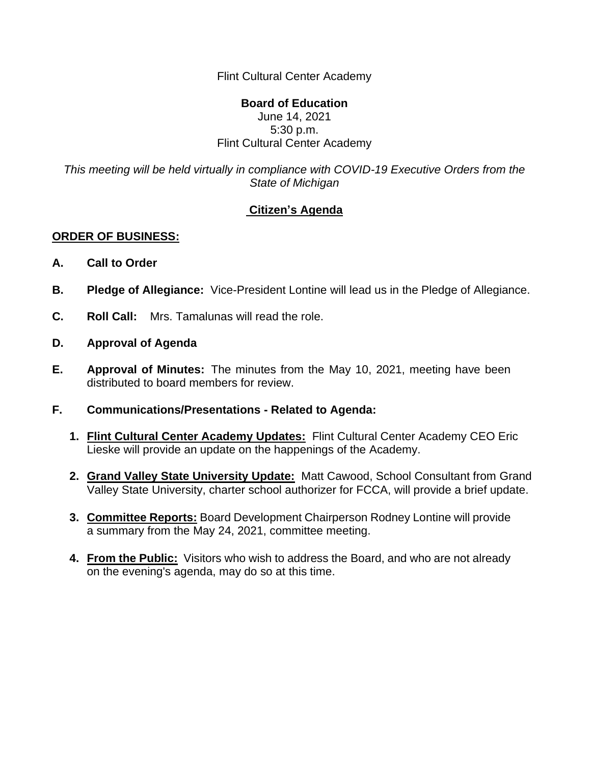Flint Cultural Center Academy

#### **Board of Education** June 14, 2021 5:30 p.m. Flint Cultural Center Academy

*This meeting will be held virtually in compliance with COVID-19 Executive Orders from the State of Michigan*

# **Citizen's Agenda**

### **ORDER OF BUSINESS:**

- **A. Call to Order**
- **B. Pledge of Allegiance:** Vice-President Lontine will lead us in the Pledge of Allegiance.
- **C. Roll Call:** Mrs. Tamalunas will read the role.
- **D. Approval of Agenda**
- **E. Approval of Minutes:** The minutes from the May 10, 2021, meeting have been distributed to board members for review.
- **F. Communications/Presentations - Related to Agenda:**
	- **1. Flint Cultural Center Academy Updates:** Flint Cultural Center Academy CEO Eric Lieske will provide an update on the happenings of the Academy.
	- **2. Grand Valley State University Update:** Matt Cawood, School Consultant from Grand Valley State University, charter school authorizer for FCCA, will provide a brief update.
	- **3. Committee Reports:** Board Development Chairperson Rodney Lontine will provide a summary from the May 24, 2021, committee meeting.
	- **4. From the Public:** Visitors who wish to address the Board, and who are not already on the evening's agenda, may do so at this time.